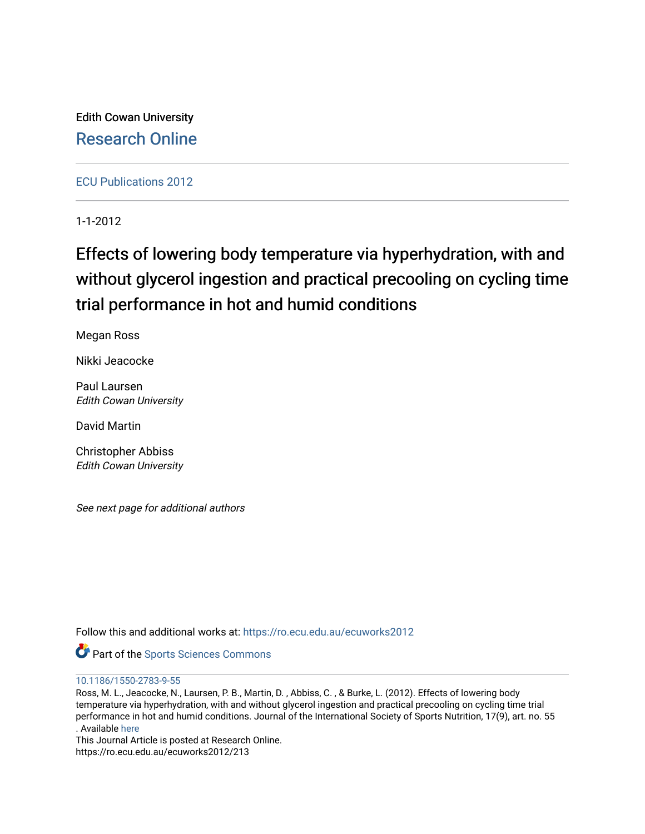Edith Cowan University [Research Online](https://ro.ecu.edu.au/) 

[ECU Publications 2012](https://ro.ecu.edu.au/ecuworks2012)

1-1-2012

# Effects of lowering body temperature via hyperhydration, with and without glycerol ingestion and practical precooling on cycling time trial performance in hot and humid conditions

Megan Ross

Nikki Jeacocke

Paul Laursen Edith Cowan University

David Martin

Christopher Abbiss Edith Cowan University

See next page for additional authors

Follow this and additional works at: [https://ro.ecu.edu.au/ecuworks2012](https://ro.ecu.edu.au/ecuworks2012?utm_source=ro.ecu.edu.au%2Fecuworks2012%2F213&utm_medium=PDF&utm_campaign=PDFCoverPages) 



[10.1186/1550-2783-9-55](http://dx.doi.org/10.1186/1550-2783-9-55)

Ross, M. L., Jeacocke, N., Laursen, P. B., Martin, D. , Abbiss, C. , & Burke, L. (2012). Effects of lowering body temperature via hyperhydration, with and without glycerol ingestion and practical precooling on cycling time trial performance in hot and humid conditions. Journal of the International Society of Sports Nutrition, 17(9), art. no. 55 . Available [here](http://dx.doi.org/10.1186/1550-2783-9-55)

This Journal Article is posted at Research Online. https://ro.ecu.edu.au/ecuworks2012/213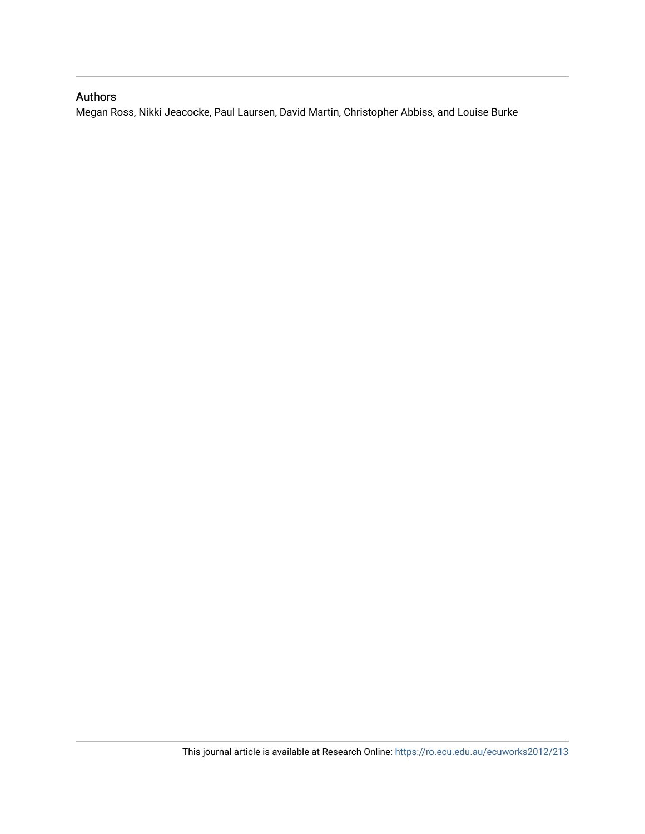# Authors

Megan Ross, Nikki Jeacocke, Paul Laursen, David Martin, Christopher Abbiss, and Louise Burke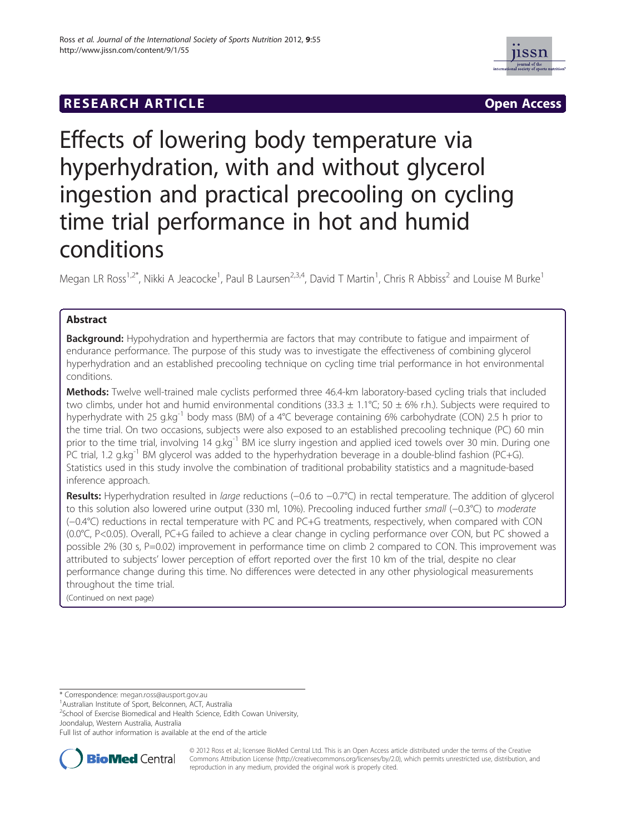# **RESEARCH ARTICLE Example 20 and 20 and 20 and 20 and 20 and 20 and 20 and 20 and 20 and 20 and 20 and 20 and 20 and 20 and 20 and 20 and 20 and 20 and 20 and 20 and 20 and 20 and 20 and 20 and 20 and 20 and 20 and 20 an**



# Effects of lowering body temperature via hyperhydration, with and without glycerol ingestion and practical precooling on cycling time trial performance in hot and humid conditions

Megan LR Ross<sup>1,2\*</sup>, Nikki A Jeacocke<sup>1</sup>, Paul B Laursen<sup>2,3,4</sup>, David T Martin<sup>1</sup>, Chris R Abbiss<sup>2</sup> and Louise M Burke<sup>1</sup>

# Abstract

**Background:** Hypohydration and hyperthermia are factors that may contribute to fatigue and impairment of endurance performance. The purpose of this study was to investigate the effectiveness of combining glycerol hyperhydration and an established precooling technique on cycling time trial performance in hot environmental conditions.

Methods: Twelve well-trained male cyclists performed three 46.4-km laboratory-based cycling trials that included two climbs, under hot and humid environmental conditions (33.3  $\pm$  1.1°C; 50  $\pm$  6% r.h.). Subjects were required to hyperhydrate with 25 g.kg<sup>-1</sup> body mass (BM) of a 4°C beverage containing 6% carbohydrate (CON) 2.5 h prior to the time trial. On two occasions, subjects were also exposed to an established precooling technique (PC) 60 min prior to the time trial, involving 14 g.kg<sup>-1</sup> BM ice slurry ingestion and applied iced towels over 30 min. During one PC trial, 1.2 g.kg<sup>-1</sup> BM glycerol was added to the hyperhydration beverage in a double-blind fashion (PC+G). Statistics used in this study involve the combination of traditional probability statistics and a magnitude-based inference approach.

Results: Hyperhydration resulted in large reductions (−0.6 to −0.7°C) in rectal temperature. The addition of glycerol to this solution also lowered urine output (330 ml, 10%). Precooling induced further small (−0.3°C) to moderate (−0.4°C) reductions in rectal temperature with PC and PC+G treatments, respectively, when compared with CON (0.0°C, P<0.05). Overall, PC+G failed to achieve a clear change in cycling performance over CON, but PC showed a possible 2% (30 s, P=0.02) improvement in performance time on climb 2 compared to CON. This improvement was attributed to subjects' lower perception of effort reported over the first 10 km of the trial, despite no clear performance change during this time. No differences were detected in any other physiological measurements throughout the time trial.

(Continued on next page)

\* Correspondence: [megan.ross@ausport.gov.au](mailto:megan.ross@ausport.gov.au) <sup>1</sup>

<sup>2</sup>School of Exercise Biomedical and Health Science, Edith Cowan University, Joondalup, Western Australia, Australia

Full list of author information is available at the end of the article



© 2012 Ross et al.; licensee BioMed Central Ltd. This is an Open Access article distributed under the terms of the Creative Commons Attribution License [\(http://creativecommons.org/licenses/by/2.0\)](http://creativecommons.org/licenses/by/2.0), which permits unrestricted use, distribution, and reproduction in any medium, provided the original work is properly cited.

<sup>&</sup>lt;sup>1</sup> Australian Institute of Sport, Belconnen, ACT, Australia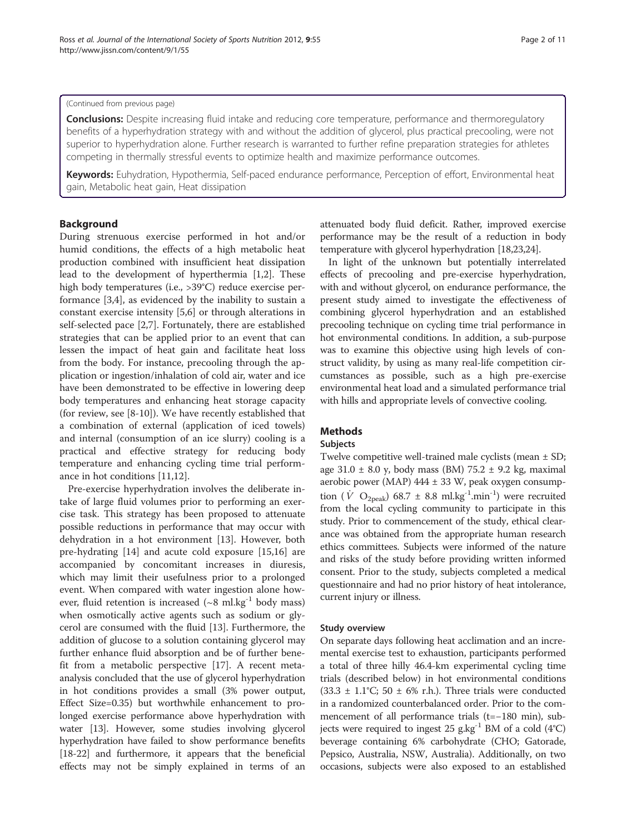#### (Continued from previous page)

Conclusions: Despite increasing fluid intake and reducing core temperature, performance and thermoregulatory benefits of a hyperhydration strategy with and without the addition of glycerol, plus practical precooling, were not superior to hyperhydration alone. Further research is warranted to further refine preparation strategies for athletes competing in thermally stressful events to optimize health and maximize performance outcomes.

Keywords: Euhydration, Hypothermia, Self-paced endurance performance, Perception of effort, Environmental heat gain, Metabolic heat gain, Heat dissipation

# Background

During strenuous exercise performed in hot and/or humid conditions, the effects of a high metabolic heat production combined with insufficient heat dissipation lead to the development of hyperthermia [[1,2\]](#page-11-0). These high body temperatures (i.e., >39°C) reduce exercise performance [[3,4\]](#page-11-0), as evidenced by the inability to sustain a constant exercise intensity [\[5,6](#page-11-0)] or through alterations in self-selected pace [[2,7\]](#page-11-0). Fortunately, there are established strategies that can be applied prior to an event that can lessen the impact of heat gain and facilitate heat loss from the body. For instance, precooling through the application or ingestion/inhalation of cold air, water and ice have been demonstrated to be effective in lowering deep body temperatures and enhancing heat storage capacity (for review, see [\[8-10](#page-11-0)]). We have recently established that a combination of external (application of iced towels) and internal (consumption of an ice slurry) cooling is a practical and effective strategy for reducing body temperature and enhancing cycling time trial performance in hot conditions [\[11,12](#page-11-0)].

Pre-exercise hyperhydration involves the deliberate intake of large fluid volumes prior to performing an exercise task. This strategy has been proposed to attenuate possible reductions in performance that may occur with dehydration in a hot environment [[13](#page-11-0)]. However, both pre-hydrating [[14\]](#page-11-0) and acute cold exposure [[15,16\]](#page-11-0) are accompanied by concomitant increases in diuresis, which may limit their usefulness prior to a prolonged event. When compared with water ingestion alone however, fluid retention is increased  $({\sim}8 \text{ ml} \text{kg}^{-1}$  body mass) when osmotically active agents such as sodium or glycerol are consumed with the fluid [\[13\]](#page-11-0). Furthermore, the addition of glucose to a solution containing glycerol may further enhance fluid absorption and be of further benefit from a metabolic perspective [[17\]](#page-11-0). A recent metaanalysis concluded that the use of glycerol hyperhydration in hot conditions provides a small (3% power output, Effect Size=0.35) but worthwhile enhancement to prolonged exercise performance above hyperhydration with water [[13](#page-11-0)]. However, some studies involving glycerol hyperhydration have failed to show performance benefits [[18](#page-11-0)-[22](#page-12-0)] and furthermore, it appears that the beneficial effects may not be simply explained in terms of an

attenuated body fluid deficit. Rather, improved exercise performance may be the result of a reduction in body temperature with glycerol hyperhydration [[18](#page-11-0)[,23,24\]](#page-12-0).

In light of the unknown but potentially interrelated effects of precooling and pre-exercise hyperhydration, with and without glycerol, on endurance performance, the present study aimed to investigate the effectiveness of combining glycerol hyperhydration and an established precooling technique on cycling time trial performance in hot environmental conditions. In addition, a sub-purpose was to examine this objective using high levels of construct validity, by using as many real-life competition circumstances as possible, such as a high pre-exercise environmental heat load and a simulated performance trial with hills and appropriate levels of convective cooling.

# Methods

#### Subjects

Twelve competitive well-trained male cyclists (mean ± SD; age  $31.0 \pm 8.0$  y, body mass (BM) 75.2  $\pm$  9.2 kg, maximal aerobic power (MAP) 444 ± 33 W, peak oxygen consumption ( $\dot{V}$  O<sub>2peak</sub>) 68.7 ± 8.8 ml.kg<sup>-1</sup>.min<sup>-1</sup>) were recruited from the local cycling community to participate in this study. Prior to commencement of the study, ethical clearance was obtained from the appropriate human research ethics committees. Subjects were informed of the nature and risks of the study before providing written informed consent. Prior to the study, subjects completed a medical questionnaire and had no prior history of heat intolerance, current injury or illness.

#### Study overview

On separate days following heat acclimation and an incremental exercise test to exhaustion, participants performed a total of three hilly 46.4-km experimental cycling time trials (described below) in hot environmental conditions  $(33.3 \pm 1.1^{\circ}\text{C}; 50 \pm 6\% \text{ r.h.})$ . Three trials were conducted in a randomized counterbalanced order. Prior to the commencement of all performance trials (t=−180 min), subjects were required to ingest 25 g.kg<sup>-1</sup> BM of a cold  $(4^{\circ}C)$ beverage containing 6% carbohydrate (CHO; Gatorade, Pepsico, Australia, NSW, Australia). Additionally, on two occasions, subjects were also exposed to an established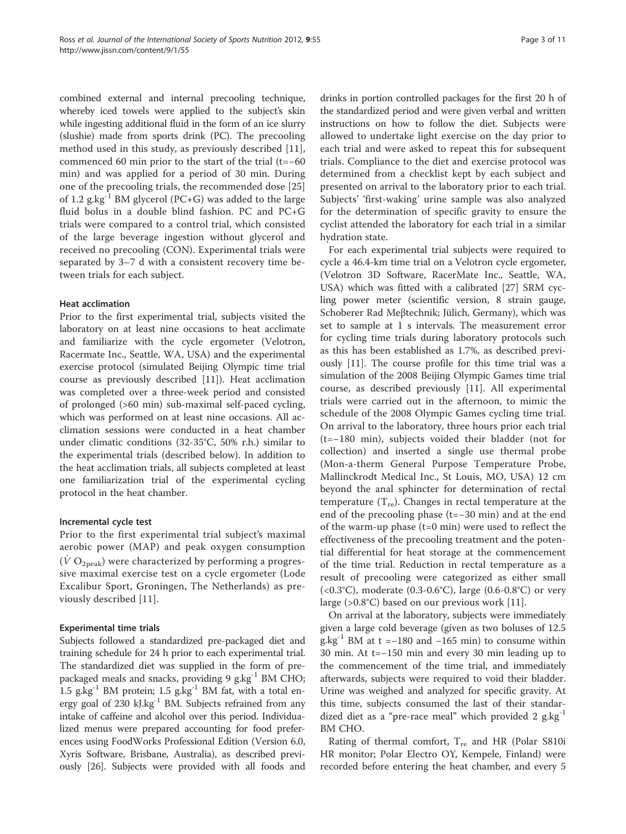combined external and internal precooling technique, whereby iced towels were applied to the subject's skin while ingesting additional fluid in the form of an ice slurry (slushie) made from sports drink (PC). The precooling method used in this study, as previously described [[11](#page-11-0)], commenced 60 min prior to the start of the trial (t=−60 min) and was applied for a period of 30 min. During one of the precooling trials, the recommended dose [\[25](#page-12-0)] of 1.2 g.kg<sup>-1</sup> BM glycerol (PC+G) was added to the large fluid bolus in a double blind fashion. PC and PC+G trials were compared to a control trial, which consisted of the large beverage ingestion without glycerol and received no precooling (CON). Experimental trials were separated by 3–7 d with a consistent recovery time between trials for each subject.

#### Heat acclimation

Prior to the first experimental trial, subjects visited the laboratory on at least nine occasions to heat acclimate and familiarize with the cycle ergometer (Velotron, Racermate Inc., Seattle, WA, USA) and the experimental exercise protocol (simulated Beijing Olympic time trial course as previously described [\[11](#page-11-0)]). Heat acclimation was completed over a three-week period and consisted of prolonged (>60 min) sub-maximal self-paced cycling, which was performed on at least nine occasions. All acclimation sessions were conducted in a heat chamber under climatic conditions (32-35°C, 50% r.h.) similar to the experimental trials (described below). In addition to the heat acclimation trials, all subjects completed at least one familiarization trial of the experimental cycling protocol in the heat chamber.

# Incremental cycle test

Prior to the first experimental trial subject's maximal aerobic power (MAP) and peak oxygen consumption  $(V O<sub>2peak</sub>)$  were characterized by performing a progressive maximal exercise test on a cycle ergometer (Lode Excalibur Sport, Groningen, The Netherlands) as previously described [\[11\]](#page-11-0).

# Experimental time trials

Subjects followed a standardized pre-packaged diet and training schedule for 24 h prior to each experimental trial. The standardized diet was supplied in the form of prepackaged meals and snacks, providing  $9$  g.kg<sup>-1</sup> BM CHO; 1.5 g.kg $^{-1}$  BM protein; 1.5 g.kg $^{-1}$  BM fat, with a total energy goal of 230 kJ.kg $^{-1}$  BM. Subjects refrained from any intake of caffeine and alcohol over this period. Individualized menus were prepared accounting for food preferences using FoodWorks Professional Edition (Version 6.0, Xyris Software, Brisbane, Australia), as described previously [\[26\]](#page-12-0). Subjects were provided with all foods and

drinks in portion controlled packages for the first 20 h of the standardized period and were given verbal and written instructions on how to follow the diet. Subjects were allowed to undertake light exercise on the day prior to each trial and were asked to repeat this for subsequent trials. Compliance to the diet and exercise protocol was determined from a checklist kept by each subject and presented on arrival to the laboratory prior to each trial. Subjects' 'first-waking' urine sample was also analyzed for the determination of specific gravity to ensure the cyclist attended the laboratory for each trial in a similar hydration state.

For each experimental trial subjects were required to cycle a 46.4-km time trial on a Velotron cycle ergometer, (Velotron 3D Software, RacerMate Inc., Seattle, WA, USA) which was fitted with a calibrated [[27\]](#page-12-0) SRM cycling power meter (scientific version, 8 strain gauge, Schoberer Rad Meβtechnik; Jülich, Germany), which was set to sample at 1 s intervals. The measurement error for cycling time trials during laboratory protocols such as this has been established as 1.7%, as described previously [[11](#page-11-0)]. The course profile for this time trial was a simulation of the 2008 Beijing Olympic Games time trial course, as described previously [[11](#page-11-0)]. All experimental trials were carried out in the afternoon, to mimic the schedule of the 2008 Olympic Games cycling time trial. On arrival to the laboratory, three hours prior each trial (t=−180 min), subjects voided their bladder (not for collection) and inserted a single use thermal probe (Mon-a-therm General Purpose Temperature Probe, Mallinckrodt Medical Inc., St Louis, MO, USA) 12 cm beyond the anal sphincter for determination of rectal temperature  $(T_{\text{re}})$ . Changes in rectal temperature at the end of the precooling phase (t=−30 min) and at the end of the warm-up phase  $(t=0 \text{ min})$  were used to reflect the effectiveness of the precooling treatment and the potential differential for heat storage at the commencement of the time trial. Reduction in rectal temperature as a result of precooling were categorized as either small (<0.3°C), moderate (0.3-0.6°C), large (0.6-0.8°C) or very large (>0.8°C) based on our previous work [[11\]](#page-11-0).

On arrival at the laboratory, subjects were immediately given a large cold beverage (given as two boluses of 12.5 g.kg<sup>-1</sup> BM at t =−180 and −165 min) to consume within 30 min. At t=−150 min and every 30 min leading up to the commencement of the time trial, and immediately afterwards, subjects were required to void their bladder. Urine was weighed and analyzed for specific gravity. At this time, subjects consumed the last of their standardized diet as a "pre-race meal" which provided 2  $g kg^{-1}$ BM CHO.

Rating of thermal comfort,  $T_{\text{re}}$  and HR (Polar S810i HR monitor; Polar Electro OY, Kempele, Finland) were recorded before entering the heat chamber, and every 5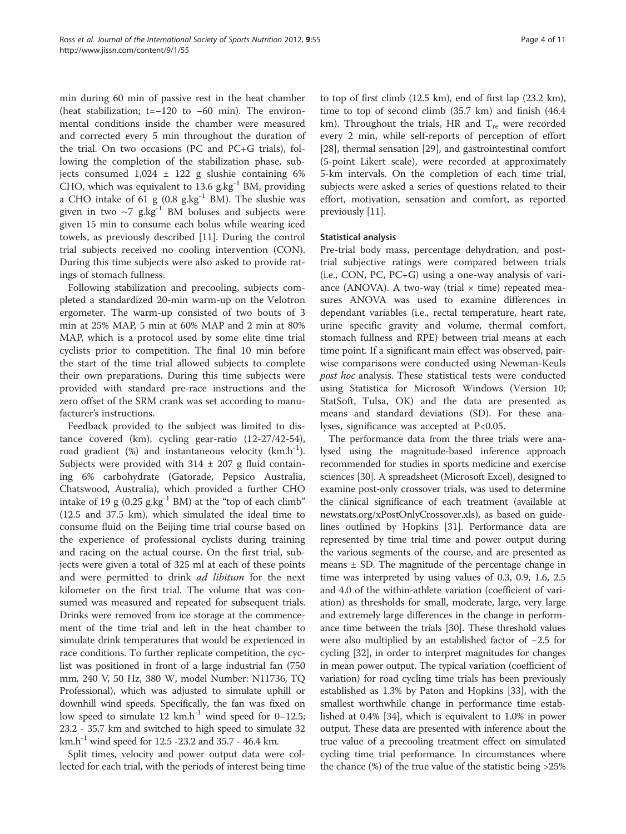min during 60 min of passive rest in the heat chamber (heat stabilization; t=−120 to −60 min). The environmental conditions inside the chamber were measured and corrected every 5 min throughout the duration of the trial. On two occasions (PC and PC+G trials), following the completion of the stabilization phase, subjects consumed  $1,024 \pm 122$  g slushie containing 6% CHO, which was equivalent to 13.6  $g kg^{-1}$  BM, providing a CHO intake of 61 g  $(0.8 \text{ g}.\text{kg}^{-1} \text{ BM})$ . The slushie was given in two  $\sim$ 7 g.kg<sup>-1</sup> BM boluses and subjects were given 15 min to consume each bolus while wearing iced towels, as previously described [\[11](#page-11-0)]. During the control trial subjects received no cooling intervention (CON). During this time subjects were also asked to provide ratings of stomach fullness.

Following stabilization and precooling, subjects completed a standardized 20-min warm-up on the Velotron ergometer. The warm-up consisted of two bouts of 3 min at 25% MAP, 5 min at 60% MAP and 2 min at 80% MAP, which is a protocol used by some elite time trial cyclists prior to competition. The final 10 min before the start of the time trial allowed subjects to complete their own preparations. During this time subjects were provided with standard pre-race instructions and the zero offset of the SRM crank was set according to manufacturer's instructions.

Feedback provided to the subject was limited to distance covered (km), cycling gear-ratio (12-27/42-54), road gradient  $(\%)$  and instantaneous velocity  $(km.h^{-1})$ . Subjects were provided with  $314 \pm 207$  g fluid containing 6% carbohydrate (Gatorade, Pepsico Australia, Chatswood, Australia), which provided a further CHO intake of 19 g  $(0.25 \text{ g} \cdot \text{kg}^{-1} \text{ BM})$  at the "top of each climb" (12.5 and 37.5 km), which simulated the ideal time to consume fluid on the Beijing time trial course based on the experience of professional cyclists during training and racing on the actual course. On the first trial, subjects were given a total of 325 ml at each of these points and were permitted to drink ad libitum for the next kilometer on the first trial. The volume that was consumed was measured and repeated for subsequent trials. Drinks were removed from ice storage at the commencement of the time trial and left in the heat chamber to simulate drink temperatures that would be experienced in race conditions. To further replicate competition, the cyclist was positioned in front of a large industrial fan (750 mm, 240 V, 50 Hz, 380 W, model Number: N11736, TQ Professional), which was adjusted to simulate uphill or downhill wind speeds. Specifically, the fan was fixed on low speed to simulate 12  $km.h^{-1}$  wind speed for 0–12.5; 23.2 - 35.7 km and switched to high speed to simulate 32  $km.h^{-1}$  wind speed for 12.5 -23.2 and 35.7 - 46.4 km.

Split times, velocity and power output data were collected for each trial, with the periods of interest being time

to top of first climb (12.5 km), end of first lap (23.2 km), time to top of second climb (35.7 km) and finish (46.4 km). Throughout the trials, HR and  $T_{re}$  were recorded every 2 min, while self-reports of perception of effort [[28\]](#page-12-0), thermal sensation [[29\]](#page-12-0), and gastrointestinal comfort (5-point Likert scale), were recorded at approximately 5-km intervals. On the completion of each time trial, subjects were asked a series of questions related to their effort, motivation, sensation and comfort, as reported previously [\[11\]](#page-11-0).

### Statistical analysis

Pre-trial body mass, percentage dehydration, and posttrial subjective ratings were compared between trials (i.e., CON, PC, PC+G) using a one-way analysis of variance (ANOVA). A two-way (trial  $\times$  time) repeated measures ANOVA was used to examine differences in dependant variables (i.e., rectal temperature, heart rate, urine specific gravity and volume, thermal comfort, stomach fullness and RPE) between trial means at each time point. If a significant main effect was observed, pairwise comparisons were conducted using Newman-Keuls post hoc analysis. These statistical tests were conducted using Statistica for Microsoft Windows (Version 10; StatSoft, Tulsa, OK) and the data are presented as means and standard deviations (SD). For these analyses, significance was accepted at P<0.05.

The performance data from the three trials were analysed using the magnitude-based inference approach recommended for studies in sports medicine and exercise sciences [[30](#page-12-0)]. A spreadsheet (Microsoft Excel), designed to examine post-only crossover trials, was used to determine the clinical significance of each treatment (available at newstats.org/xPostOnlyCrossover.xls), as based on guidelines outlined by Hopkins [\[31\]](#page-12-0). Performance data are represented by time trial time and power output during the various segments of the course, and are presented as means  $\pm$  SD. The magnitude of the percentage change in time was interpreted by using values of 0.3, 0.9, 1.6, 2.5 and 4.0 of the within-athlete variation (coefficient of variation) as thresholds for small, moderate, large, very large and extremely large differences in the change in performance time between the trials [\[30\]](#page-12-0). These threshold values were also multiplied by an established factor of −2.5 for cycling [[32](#page-12-0)], in order to interpret magnitudes for changes in mean power output. The typical variation (coefficient of variation) for road cycling time trials has been previously established as 1.3% by Paton and Hopkins [\[33\]](#page-12-0), with the smallest worthwhile change in performance time established at 0.4% [[34\]](#page-12-0), which is equivalent to 1.0% in power output. These data are presented with inference about the true value of a precooling treatment effect on simulated cycling time trial performance. In circumstances where the chance (%) of the true value of the statistic being >25%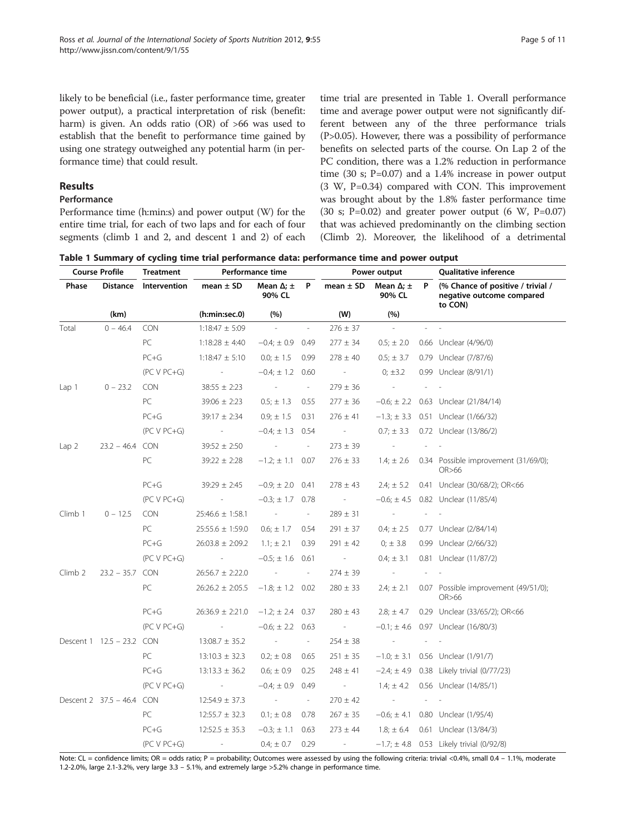likely to be beneficial (i.e., faster performance time, greater power output), a practical interpretation of risk (benefit: harm) is given. An odds ratio (OR) of >66 was used to establish that the benefit to performance time gained by using one strategy outweighed any potential harm (in performance time) that could result.

#### Results

#### Performance

Performance time (h:min:s) and power output (W) for the entire time trial, for each of two laps and for each of four segments (climb 1 and 2, and descent 1 and 2) of each

time trial are presented in Table 1. Overall performance time and average power output were not significantly different between any of the three performance trials (P>0.05). However, there was a possibility of performance benefits on selected parts of the course. On Lap 2 of the PC condition, there was a 1.2% reduction in performance time (30 s; P=0.07) and a 1.4% increase in power output (3 W, P=0.34) compared with CON. This improvement was brought about by the 1.8% faster performance time (30 s; P=0.02) and greater power output (6 W, P=0.07) that was achieved predominantly on the climbing section (Climb 2). Moreover, the likelihood of a detrimental

Table 1 Summary of cycling time trial performance data: performance time and power output

|                    | <b>Course Profile</b>     | Treatment             |                                                               | Performance time                |                          |                                                                                                                                                                                                                                                                                                                                                                                                                                                           | Power output                    |                          | Qualitative inference                                                     |
|--------------------|---------------------------|-----------------------|---------------------------------------------------------------|---------------------------------|--------------------------|-----------------------------------------------------------------------------------------------------------------------------------------------------------------------------------------------------------------------------------------------------------------------------------------------------------------------------------------------------------------------------------------------------------------------------------------------------------|---------------------------------|--------------------------|---------------------------------------------------------------------------|
| Phase              |                           | Distance Intervention | mean $\pm$ SD                                                 | Mean $\Delta$ ; $\pm$<br>90% CL | P                        | mean $\pm$ SD                                                                                                                                                                                                                                                                                                                                                                                                                                             | Mean $\Delta$ ; $\pm$<br>90% CL | P.                       | (% Chance of positive / trivial /<br>negative outcome compared<br>to CON) |
|                    | (km)                      |                       | (h:min:sec.0)                                                 | (%)                             |                          | (W)                                                                                                                                                                                                                                                                                                                                                                                                                                                       | (%)                             |                          |                                                                           |
| Total              | $0 - 46.4$                | <b>CON</b>            | $1:18:47 \pm 5:09$                                            |                                 | $\overline{\phantom{a}}$ | $276 \pm 37$                                                                                                                                                                                                                                                                                                                                                                                                                                              | $\overline{\phantom{a}}$        | $\sim$                   |                                                                           |
|                    |                           | PC                    | $1:18:28 \pm 4:40$                                            | $-0.4; \pm 0.9$ 0.49            |                          | $277 \pm 34$                                                                                                                                                                                                                                                                                                                                                                                                                                              | $0.5; \pm 2.0$                  |                          | 0.66 Unclear (4/96/0)                                                     |
|                    |                           | $PC+G$                | $1:18:47 \pm 5:10$                                            | $0.0; \pm 1.5$                  | 0.99                     | $278 \pm 40$                                                                                                                                                                                                                                                                                                                                                                                                                                              | $0.5; \pm 3.7$                  |                          | 0.79 Unclear (7/87/6)                                                     |
|                    |                           | $(PC V PC+G)$         | $\sim 10^{-10}$                                               | $-0.4; \pm 1.2$ 0.60            |                          | $\sim$ $-$                                                                                                                                                                                                                                                                                                                                                                                                                                                | 0; $\pm 3.2$                    |                          | 0.99 Unclear (8/91/1)                                                     |
| Lap <sub>1</sub>   | $0 - 23.2$                | <b>CON</b>            | $38:55 \pm 2:23$                                              | $\sim$                          | $\overline{\phantom{a}}$ | $279 \pm 36$                                                                                                                                                                                                                                                                                                                                                                                                                                              | $\overline{\phantom{a}}$        |                          |                                                                           |
|                    |                           | PC                    | $39:06 \pm 2:23$                                              | $0.5; \pm 1.3$                  | 0.55                     | $277 \pm 36$                                                                                                                                                                                                                                                                                                                                                                                                                                              |                                 |                          | $-0.6$ ; $\pm$ 2.2 0.63 Unclear (21/84/14)                                |
|                    |                           | $PC + G$              | $39:17 \pm 2:34$                                              | $0.9; \pm 1.5$                  | 0.31                     | $276 \pm 41$                                                                                                                                                                                                                                                                                                                                                                                                                                              |                                 |                          | $-1.3$ ; $\pm$ 3.3 0.51 Unclear (1/66/32)                                 |
|                    |                           | (PC V PC+G)           | $\sim$                                                        | $-0.4; \pm 1.3$ 0.54            |                          | $\mathcal{L}^{\mathcal{L}}(\mathcal{L}^{\mathcal{L}}(\mathcal{L}^{\mathcal{L}}(\mathcal{L}^{\mathcal{L}}(\mathcal{L}^{\mathcal{L}}(\mathcal{L}^{\mathcal{L}}(\mathcal{L}^{\mathcal{L}}(\mathcal{L}^{\mathcal{L}}(\mathcal{L}^{\mathcal{L}}(\mathcal{L}^{\mathcal{L}}(\mathcal{L}^{\mathcal{L}}(\mathcal{L}^{\mathcal{L}}(\mathcal{L}^{\mathcal{L}}(\mathcal{L}^{\mathcal{L}}(\mathcal{L}^{\mathcal{L}}(\mathcal{L}^{\mathcal{L}}(\mathcal{L}^{\mathcal{L$ | $0.7; \pm 3.3$                  |                          | 0.72 Unclear (13/86/2)                                                    |
| Lap <sub>2</sub>   | $23.2 - 46.4$ CON         |                       | $39:52 \pm 2:50$                                              | $\sim$                          | $\sim$                   | $273 \pm 39$                                                                                                                                                                                                                                                                                                                                                                                                                                              | $\overline{\phantom{a}}$        |                          |                                                                           |
|                    |                           | PC                    | $39:22 \pm 2:28$                                              | $-1.2; \pm 1.1$ 0.07            |                          | $276 \pm 33$                                                                                                                                                                                                                                                                                                                                                                                                                                              | $1.4; \pm 2.6$                  |                          | 0.34 Possible improvement (31/69/0);<br>OR>66                             |
|                    |                           | $PC + G$              | $39:29 \pm 2:45$                                              | $-0.9; \pm 2.0$ 0.41            |                          | $278 \pm 43$                                                                                                                                                                                                                                                                                                                                                                                                                                              | $2.4; \pm 5.2$                  |                          | 0.41 Unclear (30/68/2); OR<66                                             |
|                    |                           | $(PC V PC+G)$         | $\mathcal{L}^{\mathcal{L}}$ and $\mathcal{L}^{\mathcal{L}}$ . | $-0.3; \pm 1.7$ 0.78            |                          | $\mathcal{L}^{\mathcal{L}}$ and $\mathcal{L}^{\mathcal{L}}$ .                                                                                                                                                                                                                                                                                                                                                                                             |                                 |                          | $-0.6$ ; $\pm$ 4.5 0.82 Unclear (11/85/4)                                 |
| Climb <sub>1</sub> | $0 - 12.5$                | <b>CON</b>            | $25:46.6 \pm 1:58.1$                                          | $\sim$ $-$                      | $\overline{\phantom{a}}$ | $289 \pm 31$                                                                                                                                                                                                                                                                                                                                                                                                                                              | $\overline{\phantom{a}}$        | $\overline{\phantom{a}}$ |                                                                           |
|                    |                           | PC                    | $25:55.6 \pm 1:59.0$                                          | $0.6; \pm 1.7$                  | 0.54                     | $291 \pm 37$                                                                                                                                                                                                                                                                                                                                                                                                                                              | $0.4; \pm 2.5$                  |                          | 0.77 Unclear (2/84/14)                                                    |
|                    |                           | $PC + G$              | $26:03.8 \pm 2:09.2$                                          | $1.1; \pm 2.1$                  | 0.39                     | $291 \pm 42$                                                                                                                                                                                                                                                                                                                                                                                                                                              | 0; $\pm$ 3.8                    |                          | 0.99 Unclear (2/66/32)                                                    |
|                    |                           | $(PC V PC+G)$         | $\sim$                                                        | $-0.5; \pm 1.6$ 0.61            |                          | <b>Contract Contract</b>                                                                                                                                                                                                                                                                                                                                                                                                                                  | $0.4; \pm 3.1$                  |                          | 0.81 Unclear (11/87/2)                                                    |
| Climb 2            | $23.2 - 35.7$ CON         |                       | $26:56.7 \pm 2:22.0$                                          | $\overline{\phantom{a}}$        | $\sim$                   | $274 \pm 39$                                                                                                                                                                                                                                                                                                                                                                                                                                              | $\overline{\phantom{a}}$        |                          |                                                                           |
|                    |                           | PC                    | $26:26.2 \pm 2:05.5$                                          | $-1.8$ ; $\pm$ 1.2 0.02         |                          | $280 \pm 33$                                                                                                                                                                                                                                                                                                                                                                                                                                              | $2.4; \pm 2.1$                  |                          | 0.07 Possible improvement (49/51/0);<br>OR>66                             |
|                    |                           | $PC+G$                | $26:36.9 \pm 2:21.0$                                          | $-1.2; \pm 2.4$ 0.37            |                          | $280 \pm 43$                                                                                                                                                                                                                                                                                                                                                                                                                                              | $2.8; \pm 4.7$                  |                          | 0.29 Unclear (33/65/2); OR<66                                             |
|                    |                           | $(PC V PC+G)$         | $\mathcal{L}^{\mathcal{L}}$ and $\mathcal{L}^{\mathcal{L}}$ . | $-0.6$ ; $\pm 2.2$ 0.63         |                          | $\mathcal{L}^{\mathcal{L}}$ and $\mathcal{L}^{\mathcal{L}}$ .                                                                                                                                                                                                                                                                                                                                                                                             |                                 |                          | $-0.1$ ; $\pm$ 4.6 0.97 Unclear (16/80/3)                                 |
|                    | Descent 1 12.5 - 23.2 CON |                       | $13:08.7 \pm 35.2$                                            | and with the                    | $\sim$                   | $254 \pm 38$                                                                                                                                                                                                                                                                                                                                                                                                                                              | $\overline{\phantom{a}}$        | $\overline{\phantom{a}}$ | $\sim$                                                                    |
|                    |                           | PC                    | $13:10.3 \pm 32.3$                                            | $0.2; \pm 0.8$                  | 0.65                     | $251 \pm 35$                                                                                                                                                                                                                                                                                                                                                                                                                                              |                                 |                          | $-1.0$ ; $\pm$ 3.1 0.56 Unclear (1/91/7)                                  |
|                    |                           | $PC + G$              | $13:13.3 \pm 36.2$                                            | $0.6; \pm 0.9$                  | 0.25                     | $248 \pm 41$                                                                                                                                                                                                                                                                                                                                                                                                                                              |                                 |                          | $-2.4$ ; $\pm 4.9$ 0.38 Likely trivial (0/77/23)                          |
|                    |                           | $(PC V PC+G)$         | $\sim 100$ km s $^{-1}$                                       | $-0.4; \pm 0.9$ 0.49            |                          | <b>Contractor</b>                                                                                                                                                                                                                                                                                                                                                                                                                                         |                                 |                          | 1.4; $\pm$ 4.2 0.56 Unclear (14/85/1)                                     |
|                    | Descent 2 37.5 - 46.4 CON |                       | $12:54.9 \pm 37.3$                                            |                                 | $\sim$                   | $270 \pm 42$                                                                                                                                                                                                                                                                                                                                                                                                                                              |                                 |                          |                                                                           |
|                    |                           | PC                    | $12:55.7 \pm 32.3$                                            | $0.1; \pm 0.8$                  | 0.78                     | $267 \pm 35$                                                                                                                                                                                                                                                                                                                                                                                                                                              |                                 |                          | $-0.6$ ; $\pm$ 4.1 0.80 Unclear (1/95/4)                                  |
|                    |                           | $PC+G$                | $12:52.5 \pm 35.3$                                            | $-0.3; \pm 1.1$                 | 0.63                     | $273 \pm 44$                                                                                                                                                                                                                                                                                                                                                                                                                                              | $1.8; \pm 6.4$                  |                          | 0.61 Unclear (13/84/3)                                                    |
|                    |                           | $(PC V PC+G)$         | $\sim$                                                        | $0.4; \pm 0.7$                  | 0.29                     | $\sim$                                                                                                                                                                                                                                                                                                                                                                                                                                                    |                                 |                          | $-1.7$ ; $\pm$ 4.8 0.53 Likely trivial (0/92/8)                           |

Note: CL = confidence limits; OR = odds ratio; P = probability; Outcomes were assessed by using the following criteria: trivial <0.4%, small 0.4 - 1.1%, moderate 1.2-2.0%, large 2.1-3.2%, very large 3.3 – 5.1%, and extremely large >5.2% change in performance time.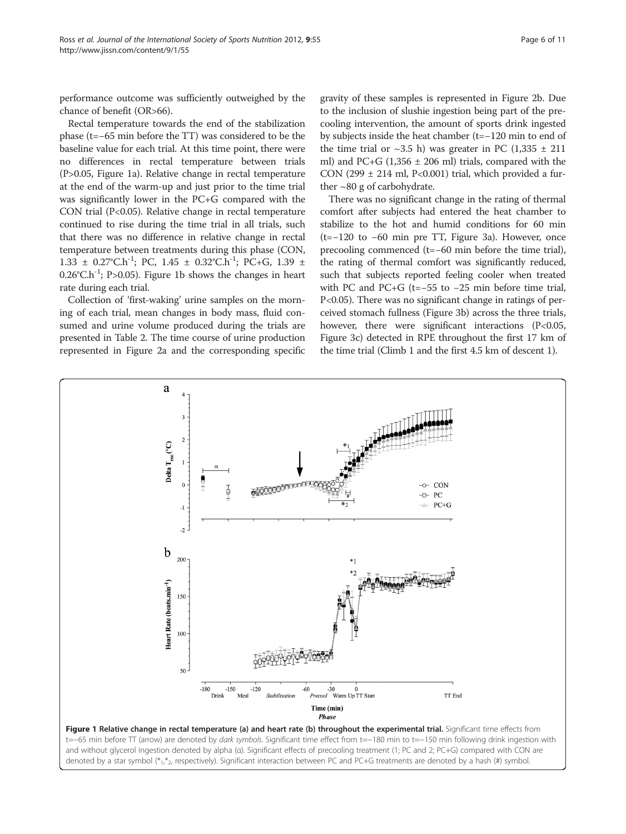performance outcome was sufficiently outweighed by the chance of benefit (OR>66).

Rectal temperature towards the end of the stabilization phase (t=−65 min before the TT) was considered to be the baseline value for each trial. At this time point, there were no differences in rectal temperature between trials (P>0.05, Figure 1a). Relative change in rectal temperature at the end of the warm-up and just prior to the time trial was significantly lower in the PC+G compared with the CON trial (P<0.05). Relative change in rectal temperature continued to rise during the time trial in all trials, such that there was no difference in relative change in rectal temperature between treatments during this phase (CON, 1.33  $\pm$  0.27°C.h<sup>-1</sup>; PC, 1.45  $\pm$  0.32°C.h<sup>-1</sup>; PC+G, 1.39  $\pm$ 0.26 $^{\circ}$ C.h<sup>-1</sup>; P>0.05). Figure 1b shows the changes in heart rate during each trial.

Collection of 'first-waking' urine samples on the morning of each trial, mean changes in body mass, fluid consumed and urine volume produced during the trials are presented in Table [2](#page-8-0). The time course of urine production represented in Figure [2a](#page-8-0) and the corresponding specific

gravity of these samples is represented in Figure [2b](#page-8-0). Due to the inclusion of slushie ingestion being part of the precooling intervention, the amount of sports drink ingested by subjects inside the heat chamber (t=−120 min to end of the time trial or  $\sim$ 3.5 h) was greater in PC (1,335  $\pm$  211 ml) and PC+G  $(1,356 \pm 206 \text{ ml})$  trials, compared with the CON (299  $\pm$  214 ml, P<0.001) trial, which provided a further  $\sim$ 80 g of carbohydrate.

There was no significant change in the rating of thermal comfort after subjects had entered the heat chamber to stabilize to the hot and humid conditions for 60 min (t=−120 to −60 min pre TT, Figure [3a](#page-9-0)). However, once precooling commenced (t=−60 min before the time trial), the rating of thermal comfort was significantly reduced, such that subjects reported feeling cooler when treated with PC and PC+G (t=−55 to −25 min before time trial, P<0.05). There was no significant change in ratings of perceived stomach fullness (Figure [3b\)](#page-9-0) across the three trials, however, there were significant interactions (P<0.05, Figure [3c](#page-9-0)) detected in RPE throughout the first 17 km of the time trial (Climb 1 and the first 4.5 km of descent 1).

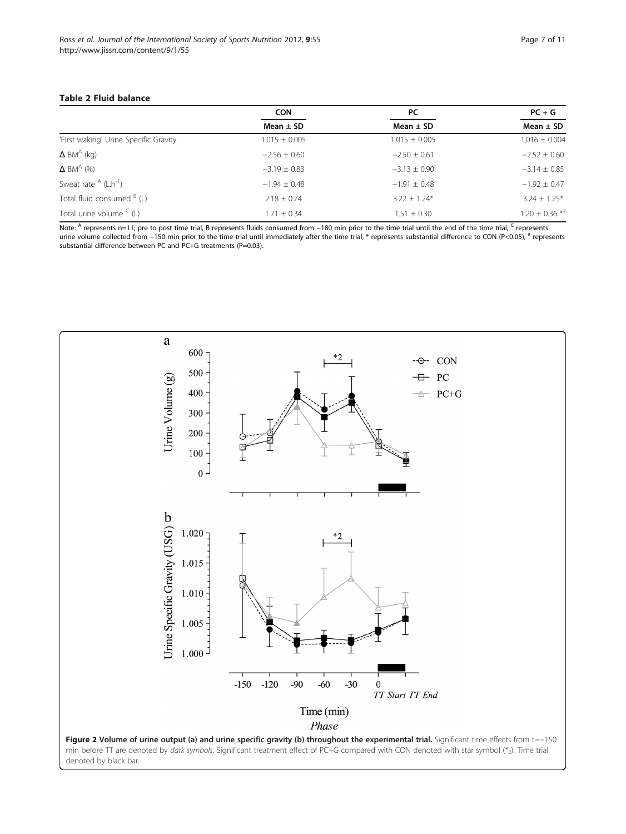#### <span id="page-8-0"></span>Table 2 Fluid balance

|                                       | <b>CON</b>        | <b>PC</b>         | $PC + G$                       |  |
|---------------------------------------|-------------------|-------------------|--------------------------------|--|
|                                       | Mean $\pm$ SD     | Mean $\pm$ SD     | Mean $\pm$ SD                  |  |
| 'First waking' Urine Specific Gravity | $1.015 \pm 0.005$ | $1.015 \pm 0.005$ | $1.016 \pm 0.004$              |  |
| $\Delta$ BM <sup>A</sup> (kg)         | $-2.56 \pm 0.60$  | $-2.50 \pm 0.61$  | $-2.52 \pm 0.60$               |  |
| $\Delta$ BM <sup>A</sup> (%)          | $-3.19 \pm 0.83$  | $-3.13 \pm 0.90$  | $-3.14 \pm 0.85$               |  |
| Sweat rate $A(L.h^{-1})$              | $-1.94 \pm 0.48$  | $-1.91 \pm 0.48$  | $-1.92 \pm 0.47$               |  |
| Total fluid consumed $B(L)$           | $2.18 \pm 0.74$   | $3.22 \pm 1.24*$  | $3.24 \pm 1.25$ *              |  |
| Total urine volume <sup>C</sup> (L)   | $1.71 \pm 0.34$   | $1.51 \pm 0.30$   | $1.20 \pm 0.36$ * <sup>#</sup> |  |

Note: A represents n=11; pre to post time trial, B represents fluids consumed from −180 min prior to the time trial until the end of the time trial, <sup>C</sup> represents urine volume collected from −150 min prior to the time trial until immediately after the time trial, \* represents substantial difference to CON (P<0.05), # represents substantial difference between PC and PC+G treatments (P=0.03).

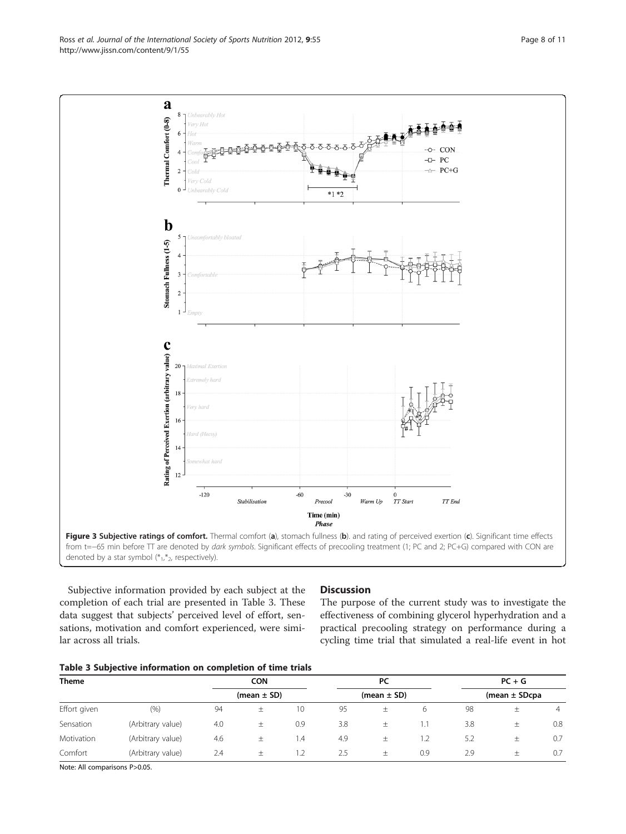Subjective information provided by each subject at the completion of each trial are presented in Table 3. These data suggest that subjects' perceived level of effort, sensations, motivation and comfort experienced, were similar across all trials.

denoted by a star symbol  $(*_{1,*2}$ , respectively).

# Discussion

The purpose of the current study was to investigate the effectiveness of combining glycerol hyperhydration and a practical precooling strategy on performance during a cycling time trial that simulated a real-life event in hot



| <b>Theme</b> |                   | <b>CON</b> |                 |     | РC  |                 | $PC + G$   |                   |   |                |
|--------------|-------------------|------------|-----------------|-----|-----|-----------------|------------|-------------------|---|----------------|
|              |                   |            | (mean $\pm$ SD) |     |     | (mean $\pm$ SD) |            | (mean $\pm$ SDcpa |   |                |
| Effort given | (% )              | 94         | 土               | 10  | 95  | 土               | 6          | 98                | 土 | $\overline{A}$ |
| Sensation    | (Arbitrary value) | 4.0        | $^{+}$          | 0.9 | 3.8 | $^{+}$          |            | 3.8               | 土 | 0.8            |
| Motivation   | (Arbitrary value) | 4.6        | $^{+}$          | l.4 | 4.9 | 土               | $\cdot$ .2 | 5.2               | 土 | 0.7            |
| Comfort      | (Arbitrary value) | 2.4        | 土               |     | 2.5 | 土               | 0.9        | 2.9               | 土 | 0.7            |

Figure 3 Subjective ratings of comfort. Thermal comfort (a), stomach fullness (b). and rating of perceived exertion (c). Significant time effects from t=−65 min before TT are denoted by dark symbols. Significant effects of precooling treatment (1; PC and 2; PC+G) compared with CON are

Note: All comparisons P>0.05.



<span id="page-9-0"></span>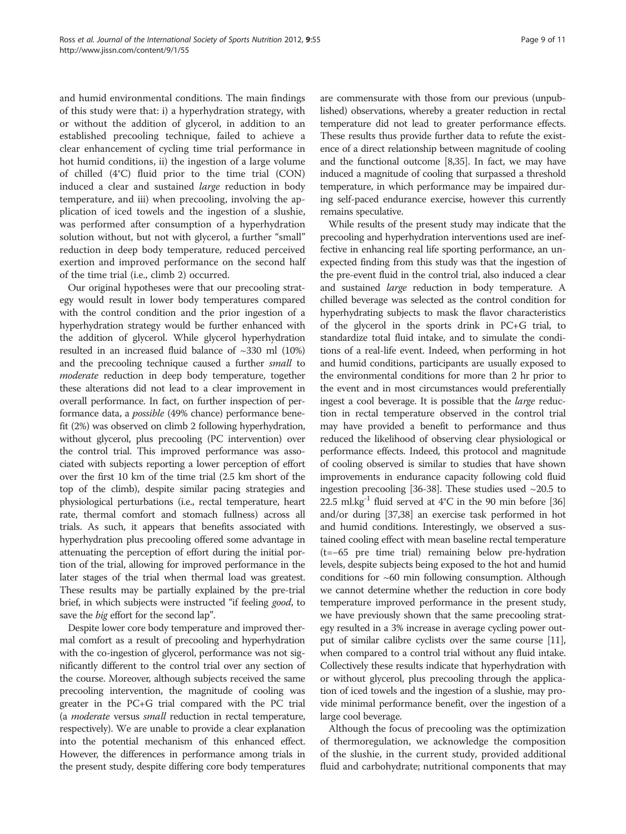and humid environmental conditions. The main findings of this study were that: i) a hyperhydration strategy, with or without the addition of glycerol, in addition to an established precooling technique, failed to achieve a clear enhancement of cycling time trial performance in hot humid conditions, ii) the ingestion of a large volume of chilled (4°C) fluid prior to the time trial (CON) induced a clear and sustained large reduction in body temperature, and iii) when precooling, involving the application of iced towels and the ingestion of a slushie, was performed after consumption of a hyperhydration solution without, but not with glycerol, a further "small" reduction in deep body temperature, reduced perceived exertion and improved performance on the second half of the time trial (i.e., climb 2) occurred.

Our original hypotheses were that our precooling strategy would result in lower body temperatures compared with the control condition and the prior ingestion of a hyperhydration strategy would be further enhanced with the addition of glycerol. While glycerol hyperhydration resulted in an increased fluid balance of ~330 ml (10%) and the precooling technique caused a further *small* to moderate reduction in deep body temperature, together these alterations did not lead to a clear improvement in overall performance. In fact, on further inspection of performance data, a possible (49% chance) performance benefit (2%) was observed on climb 2 following hyperhydration, without glycerol, plus precooling (PC intervention) over the control trial. This improved performance was associated with subjects reporting a lower perception of effort over the first 10 km of the time trial (2.5 km short of the top of the climb), despite similar pacing strategies and physiological perturbations (i.e., rectal temperature, heart rate, thermal comfort and stomach fullness) across all trials. As such, it appears that benefits associated with hyperhydration plus precooling offered some advantage in attenuating the perception of effort during the initial portion of the trial, allowing for improved performance in the later stages of the trial when thermal load was greatest. These results may be partially explained by the pre-trial brief, in which subjects were instructed "if feeling good, to save the *big* effort for the second lap".

Despite lower core body temperature and improved thermal comfort as a result of precooling and hyperhydration with the co-ingestion of glycerol, performance was not significantly different to the control trial over any section of the course. Moreover, although subjects received the same precooling intervention, the magnitude of cooling was greater in the PC+G trial compared with the PC trial (a moderate versus small reduction in rectal temperature, respectively). We are unable to provide a clear explanation into the potential mechanism of this enhanced effect. However, the differences in performance among trials in the present study, despite differing core body temperatures

are commensurate with those from our previous (unpublished) observations, whereby a greater reduction in rectal temperature did not lead to greater performance effects. These results thus provide further data to refute the existence of a direct relationship between magnitude of cooling and the functional outcome [\[8,](#page-11-0)[35](#page-12-0)]. In fact, we may have induced a magnitude of cooling that surpassed a threshold temperature, in which performance may be impaired during self-paced endurance exercise, however this currently remains speculative.

While results of the present study may indicate that the precooling and hyperhydration interventions used are ineffective in enhancing real life sporting performance, an unexpected finding from this study was that the ingestion of the pre-event fluid in the control trial, also induced a clear and sustained large reduction in body temperature. A chilled beverage was selected as the control condition for hyperhydrating subjects to mask the flavor characteristics of the glycerol in the sports drink in PC+G trial, to standardize total fluid intake, and to simulate the conditions of a real-life event. Indeed, when performing in hot and humid conditions, participants are usually exposed to the environmental conditions for more than 2 hr prior to the event and in most circumstances would preferentially ingest a cool beverage. It is possible that the large reduction in rectal temperature observed in the control trial may have provided a benefit to performance and thus reduced the likelihood of observing clear physiological or performance effects. Indeed, this protocol and magnitude of cooling observed is similar to studies that have shown improvements in endurance capacity following cold fluid ingestion precooling [[36-38](#page-12-0)]. These studies used ~20.5 to 22.5 ml.kg<sup>-1</sup> fluid served at  $4^{\circ}$ C in the 90 min before [[36](#page-12-0)] and/or during [\[37,38](#page-12-0)] an exercise task performed in hot and humid conditions. Interestingly, we observed a sustained cooling effect with mean baseline rectal temperature (t=−65 pre time trial) remaining below pre-hydration levels, despite subjects being exposed to the hot and humid conditions for  $~60$  min following consumption. Although we cannot determine whether the reduction in core body temperature improved performance in the present study, we have previously shown that the same precooling strategy resulted in a 3% increase in average cycling power output of similar calibre cyclists over the same course [[11](#page-11-0)], when compared to a control trial without any fluid intake. Collectively these results indicate that hyperhydration with or without glycerol, plus precooling through the application of iced towels and the ingestion of a slushie, may provide minimal performance benefit, over the ingestion of a large cool beverage.

Although the focus of precooling was the optimization of thermoregulation, we acknowledge the composition of the slushie, in the current study, provided additional fluid and carbohydrate; nutritional components that may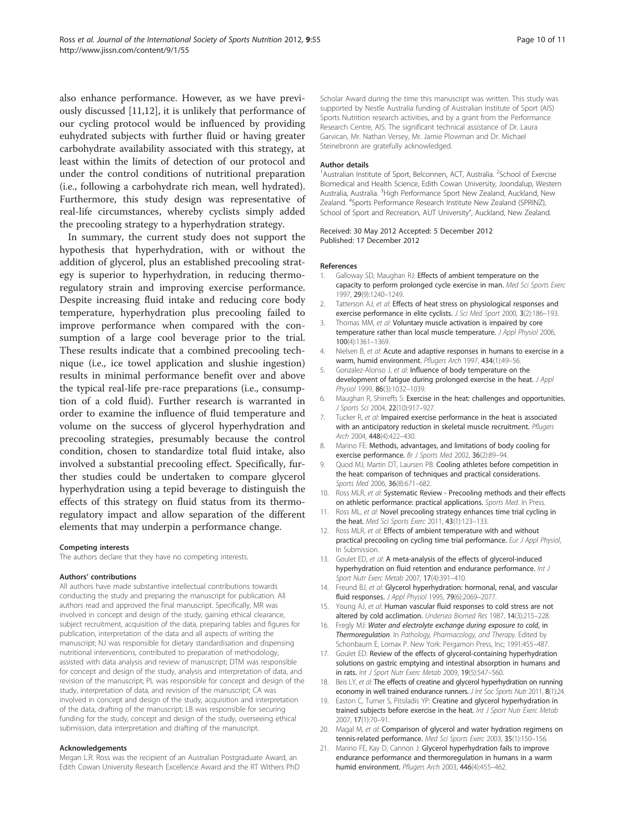<span id="page-11-0"></span>also enhance performance. However, as we have previously discussed [11,12], it is unlikely that performance of our cycling protocol would be influenced by providing euhydrated subjects with further fluid or having greater carbohydrate availability associated with this strategy, at least within the limits of detection of our protocol and under the control conditions of nutritional preparation (i.e., following a carbohydrate rich mean, well hydrated). Furthermore, this study design was representative of real-life circumstances, whereby cyclists simply added the precooling strategy to a hyperhydration strategy.

In summary, the current study does not support the hypothesis that hyperhydration, with or without the addition of glycerol, plus an established precooling strategy is superior to hyperhydration, in reducing thermoregulatory strain and improving exercise performance. Despite increasing fluid intake and reducing core body temperature, hyperhydration plus precooling failed to improve performance when compared with the consumption of a large cool beverage prior to the trial. These results indicate that a combined precooling technique (i.e., ice towel application and slushie ingestion) results in minimal performance benefit over and above the typical real-life pre-race preparations (i.e., consumption of a cold fluid). Further research is warranted in order to examine the influence of fluid temperature and volume on the success of glycerol hyperhydration and precooling strategies, presumably because the control condition, chosen to standardize total fluid intake, also involved a substantial precooling effect. Specifically, further studies could be undertaken to compare glycerol hyperhydration using a tepid beverage to distinguish the effects of this strategy on fluid status from its thermoregulatory impact and allow separation of the different elements that may underpin a performance change.

#### Competing interests

The authors declare that they have no competing interests.

#### Authors' contributions

All authors have made substantive intellectual contributions towards conducting the study and preparing the manuscript for publication. All authors read and approved the final manuscript. Specifically, MR was involved in concept and design of the study, gaining ethical clearance, subject recruitment, acquisition of the data, preparing tables and figures for publication, interpretation of the data and all aspects of writing the manuscript; NJ was responsible for dietary standardisation and dispensing nutritional interventions, contributed to preparation of methodology, assisted with data analysis and review of manuscript; DTM was responsible for concept and design of the study, analysis and interpretation of data, and revision of the manuscript; PL was responsible for concept and design of the study, interpretation of data, and revision of the manuscript; CA was involved in concept and design of the study, acquisition and interpretation of the data, drafting of the manuscript; LB was responsible for securing funding for the study, concept and design of the study, overseeing ethical submission, data interpretation and drafting of the manuscript.

#### Acknowledgements

Megan L.R. Ross was the recipient of an Australian Postgraduate Award, an Edith Cowan University Research Excellence Award and the RT Withers PhD

#### Author details

<sup>1</sup> Australian Institute of Sport, Belconnen, ACT, Australia. <sup>2</sup>School of Exercise Biomedical and Health Science, Edith Cowan University, Joondalup, Western Australia, Australia. <sup>3</sup> High Performance Sport New Zealand, Auckland, New Zealand. <sup>4</sup>Sports Performance Research Institute New Zealand (SPRINZ) School of Sport and Recreation, AUT University", Auckland, New Zealand.

Received: 30 May 2012 Accepted: 5 December 2012 Published: 17 December 2012

#### References

- 1. Galloway SD, Maughan RJ: Effects of ambient temperature on the capacity to perform prolonged cycle exercise in man. Med Sci Sports Exerc 1997, 29(9):1240–1249.
- Tatterson AJ, et al: Effects of heat stress on physiological responses and exercise performance in elite cyclists. J Sci Med Sport 2000, 3(2):186-193.
- 3. Thomas MM, et al: Voluntary muscle activation is impaired by core temperature rather than local muscle temperature. J Appl Physiol 2006, 100(4):1361–1369.
- 4. Nielsen B, et al: Acute and adaptive responses in humans to exercise in a warm, humid environment. Pflugers Arch 1997, 434(1):49–56.
- 5. Gonzalez-Alonso J, et al: Influence of body temperature on the development of fatigue during prolonged exercise in the heat. J Appl Physiol 1999, 86(3):1032–1039.
- 6. Maughan R, Shirreffs S: Exercise in the heat: challenges and opportunities. J Sports Sci 2004, 22(10):917–927.
- 7. Tucker R, et al: Impaired exercise performance in the heat is associated with an anticipatory reduction in skeletal muscle recruitment. Pflugers Arch 2004, 448(4):422–430.
- 8. Marino FE: Methods, advantages, and limitations of body cooling for exercise performance. Br J Sports Med 2002, 36(2):89-94.
- 9. Quod MJ, Martin DT, Laursen PB: Cooling athletes before competition in the heat: comparison of techniques and practical considerations. Sports Med 2006, 36(8):671-682.
- 10. Ross MLR, et al: Systematic Review Precooling methods and their effects on athletic performance: practical applications. Sports Med. In Press.
- 11. Ross ML, et al: Novel precooling strategy enhances time trial cycling in the heat. Med Sci Sports Exerc 2011, 43(1):123–133.
- 12. Ross MLR, et al: Effects of ambient temperature with and without practical precooling on cycling time trial performance. Eur J Appl Physiol, In Submission.
- 13. Goulet ED, et al: A meta-analysis of the effects of glycerol-induced hyperhydration on fluid retention and endurance performance. Int J Sport Nutr Exerc Metab 2007, 17(4):391-410.
- 14. Freund BJ, et al: Glycerol hyperhydration: hormonal, renal, and vascular fluid responses. J Appl Physiol 1995, 79(6):2069–2077.
- 15. Young AJ, et al: Human vascular fluid responses to cold stress are not altered by cold acclimation. Undersea Biomed Res 1987, 14(3):215-228.
- 16. Fregly MJ: Water and electrolyte exchange during exposure to cold, in Thermoregulation. In Pathology, Pharmacology, and Therapy. Edited by Schonbaum E, Lomax P. New York: Pergamon Press, Inc; 1991:455–487.
- 17. Goulet ED: Review of the effects of glycerol-containing hyperhydration solutions on gastric emptying and intestinal absorption in humans and in rats. Int J Sport Nutr Exerc Metab 2009, 19(5):547–560.
- 18. Beis LY, et al: The effects of creatine and glycerol hyperhydration on running economy in well trained endurance runners. J Int Soc Sports Nutr 2011, 8(1):24.
- 19. Easton C, Turner S, Pitsiladis YP: Creatine and glycerol hyperhydration in trained subjects before exercise in the heat. Int J Sport Nutr Exerc Metab 2007, 17(1):70–91.
- 20. Magal M, et al: Comparison of glycerol and water hydration regimens on tennis-related performance. Med Sci Sports Exerc 2003, 35(1):150-156.
- 21. Marino FE, Kay D, Cannon J: Glycerol hyperhydration fails to improve endurance performance and thermoregulation in humans in a warm humid environment. Pflugers Arch 2003, 446(4):455–462.